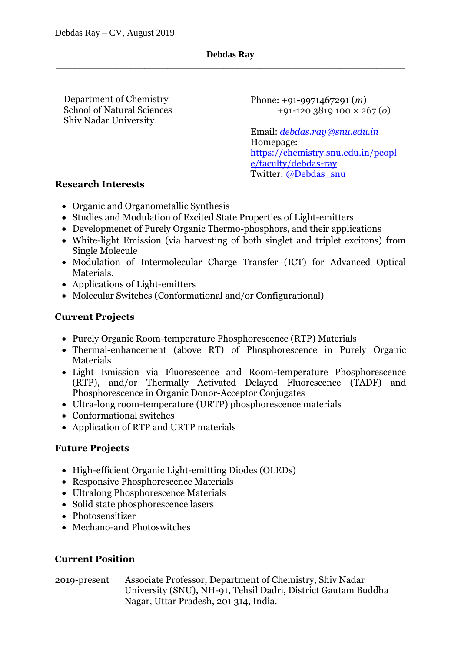Department of Chemistry Shiv Nadar University School of Natural Sciences Phone: +91-9971467291 (*m*) +91-120 3819 100 × 267 (*o*)

Email: *debdas.ray@snu.edu.in* Homepage: [https://chemistry.snu.edu.in/peopl](https://chemistry.snu.edu.in/people/faculty/debdas-ray) [e/faculty/debdas-ray](https://chemistry.snu.edu.in/people/faculty/debdas-ray) Twitter: @Debdas\_snu

#### **Research Interests**

- Organic and Organometallic Synthesis
- Studies and Modulation of Excited State Properties of Light-emitters
- Developmenet of Purely Organic Thermo-phosphors, and their applications
- White-light Emission (via harvesting of both singlet and triplet excitons) from Single Molecule
- Modulation of Intermolecular Charge Transfer (ICT) for Advanced Optical Materials.
- Applications of Light-emitters
- Molecular Switches (Conformational and/or Configurational)

# **Current Projects**

- Purely Organic Room-temperature Phosphorescence (RTP) Materials
- Thermal-enhancement (above RT) of Phosphorescence in Purely Organic Materials
- Light Emission via Fluorescence and Room-temperature Phosphorescence (RTP), and/or Thermally Activated Delayed Fluorescence (TADF) and Phosphorescence in Organic Donor-Acceptor Conjugates
- Ultra-long room-temperature (URTP) phosphorescence materials
- Conformational switches
- Application of RTP and URTP materials

# **Future Projects**

- High-efficient Organic Light-emitting Diodes (OLEDs)
- Responsive Phosphorescence Materials
- Ultralong Phosphorescence Materials
- Solid state phosphorescence lasers
- Photosensitizer
- Mechano-and Photoswitches

# **Current Position**

# 2019-present Associate Professor, Department of Chemistry, Shiv Nadar

University (SNU), NH-91, Tehsil Dadri, District Gautam Buddha Nagar, Uttar Pradesh, 201 314, India.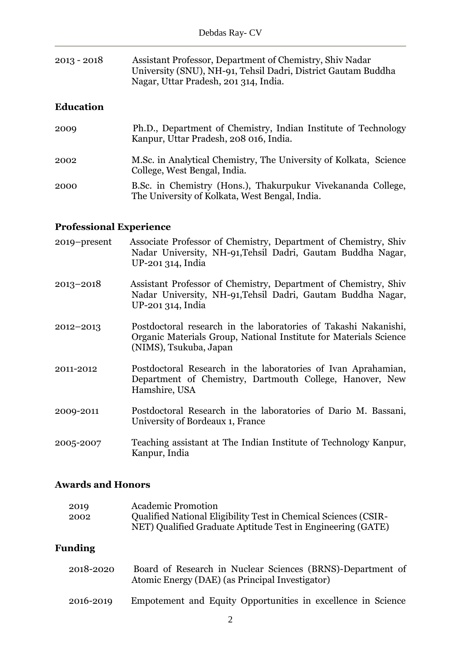| $2013 - 2018$ | Assistant Professor, Department of Chemistry, Shiv Nadar      |
|---------------|---------------------------------------------------------------|
|               | University (SNU), NH-91, Tehsil Dadri, District Gautam Buddha |
|               | Nagar, Uttar Pradesh, 201 314, India.                         |

# **Education**

| 2009 | Ph.D., Department of Chemistry, Indian Institute of Technology<br>Kanpur, Uttar Pradesh, 208 016, India.       |
|------|----------------------------------------------------------------------------------------------------------------|
| 2002 | M.Sc. in Analytical Chemistry, The University of Kolkata, Science<br>College, West Bengal, India.              |
| 2000 | B.Sc. in Chemistry (Hons.), Thakurpukur Vivekananda College,<br>The University of Kolkata, West Bengal, India. |

# **Professional Experience**

| 2019–present  | Associate Professor of Chemistry, Department of Chemistry, Shiv<br>Nadar University, NH-91, Tehsil Dadri, Gautam Buddha Nagar,<br>UP-201 314, India            |
|---------------|----------------------------------------------------------------------------------------------------------------------------------------------------------------|
| $2013 - 2018$ | Assistant Professor of Chemistry, Department of Chemistry, Shiv<br>Nadar University, NH-91, Tehsil Dadri, Gautam Buddha Nagar,<br>UP-201 314, India            |
| 2012-2013     | Postdoctoral research in the laboratories of Takashi Nakanishi,<br>Organic Materials Group, National Institute for Materials Science<br>(NIMS), Tsukuba, Japan |
| 2011-2012     | Postdoctoral Research in the laboratories of Ivan Aprahamian,<br>Department of Chemistry, Dartmouth College, Hanover, New<br>Hamshire, USA                     |
| 2009-2011     | Postdoctoral Research in the laboratories of Dario M. Bassani,<br>University of Bordeaux 1, France                                                             |
| 2005-2007     | Teaching assistant at The Indian Institute of Technology Kanpur,<br>Kanpur, India                                                                              |

# **Awards and Honors**

| <b>Academic Promotion</b>                                              |
|------------------------------------------------------------------------|
| <b>Qualified National Eligibility Test in Chemical Sciences (CSIR-</b> |
| NET) Qualified Graduate Aptitude Test in Engineering (GATE)            |
|                                                                        |

# **Funding**

| 2018-2020 | Board of Research in Nuclear Sciences (BRNS)-Department of<br>Atomic Energy (DAE) (as Principal Investigator) |
|-----------|---------------------------------------------------------------------------------------------------------------|
| 2016-2019 | Empotement and Equity Opportunities in excellence in Science                                                  |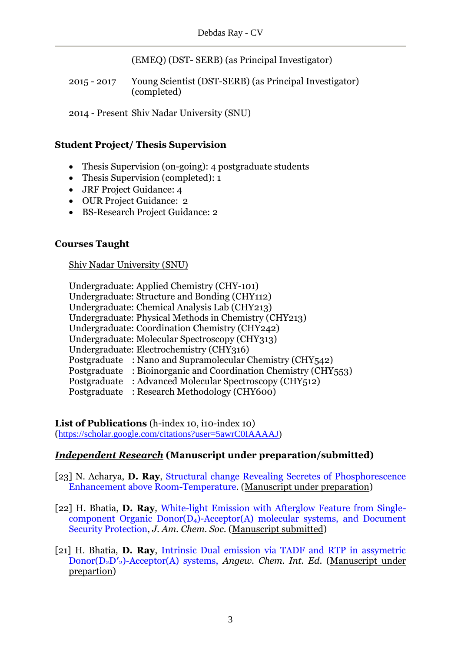(EMEQ) (DST- SERB) (as Principal Investigator)

2015 - 2017 Young Scientist (DST-SERB) (as Principal Investigator) (completed)

2014 - Present Shiv Nadar University (SNU)

# **Student Project/ Thesis Supervision**

- Thesis Supervision (on-going): 4 postgraduate students
- Thesis Supervision (completed): 1
- JRF Project Guidance: 4
- OUR Project Guidance: 2
- BS-Research Project Guidance: 2

# **Courses Taught**

# Shiv Nadar University (SNU)

| Undergraduate: Applied Chemistry (CHY-101)                     |
|----------------------------------------------------------------|
| Undergraduate: Structure and Bonding (CHY112)                  |
| Undergraduate: Chemical Analysis Lab (CHY213)                  |
| Undergraduate: Physical Methods in Chemistry (CHY213)          |
| Undergraduate: Coordination Chemistry (CHY242)                 |
| Undergraduate: Molecular Spectroscopy (CHY313)                 |
| Undergraduate: Electrochemistry (CHY316)                       |
| Postgraduate: Nano and Supramolecular Chemistry (CHY542)       |
| Postgraduate: Bioinorganic and Coordination Chemistry (CHY553) |
| Postgraduate: Advanced Molecular Spectroscopy (CHY512)         |
| Postgraduate<br>: Research Methodology (CHY600)                |

#### List of Publications (h-index 10, i10-index 10) ([https://scholar.google.com/citations?user=5awrC0IAAAAJ\)](https://scholar.google.com/citations?user=5awrC0IAAAAJ)

# *Independent Research* **(Manuscript under preparation/submitted)**

- [23] N. Acharya, **D. Ray**, Structural change Revealing Secretes of Phosphorescence Enhancement above Room-Temperature. (Manuscript under preparation)
- [22] H. Bhatia, **D. Ray***,* White-light Emission with Afterglow Feature from Singlecomponent Organic Donor(D4)-Acceptor(A) molecular systems, and Document Security Protection, *J. Am. Chem. Soc*. (Manuscript submitted)
- [21] H. Bhatia, **D. Ray**, Intrinsic Dual emission via TADF and RTP in assymetric Donor(D2D′2)-Acceptor(A) systems, *Angew. Chem. Int. Ed*. (Manuscript under prepartion)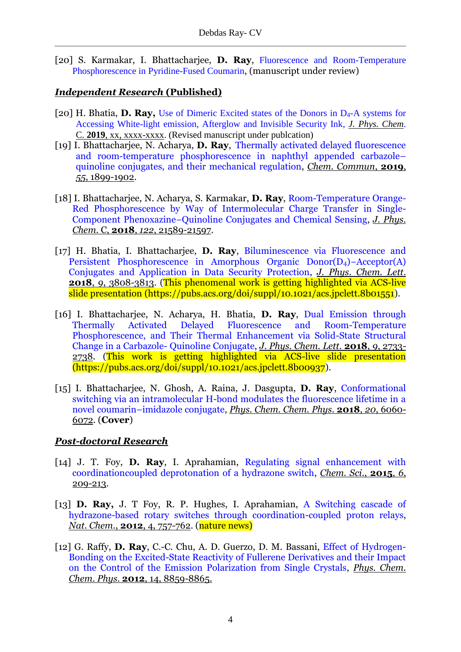[20] S. Karmakar, I. Bhattacharjee, **D. Ray**, Fluorescence and Room-Temperature Phosphorescence in Pyridine-Fused Coumarin, (manuscript under review)

# *Independent Research* **(Published)**

- [20] H. Bhatia, **D. Ray,** Use of Dimeric Excited states of the Donors in D4-A systems for Accessing White-light emission, Afterglow and Invisible Security Ink, *J. Phys. Chem*. C. **2019**, xx, xxxx-xxxx. (Revised manuscript under publcation)
- [19] I. Bhattacharjee, N. Acharya, **D. Ray**, Thermally activated delayed fluorescence and room-temperature phosphorescence in naphthyl appended carbazole– quinoline conjugates, and their mechanical regulation, *Chem. Commun*, **2019**, *55*, 1899-1902.
- [18] I. Bhattacharjee, N. Acharya, S. Karmakar, **D. Ray**, Room-Temperature Orange-Red Phosphorescence by Way of Intermolecular Charge Transfer in Single-Component Phenoxazine−Quinoline Conjugates and Chemical Sensing, *J. Phys. Chem*. C, **2018**, *122*, 21589-21597.
- [17] H. Bhatia, I. Bhattacharjee, **D. Ray**, Biluminescence via Fluorescence and Persistent Phosphorescence in Amorphous Organic Donor(D4)−Acceptor(A) Conjugates and Application in Data Security Protection, *J. Phys. Chem. Lett*. **2018**, *9*, 3808-3813. (This phenomenal work is getting highlighted via ACS-live slide presentation [\(https://pubs.acs.org/doi/suppl/10.1021/acs.jpclett.8b01551\)](https://pubs.acs.org/doi/suppl/10.1021/acs.jpclett.8b01551).
- [16] I. Bhattacharjee, N. Acharya, H. Bhatia, **D. Ray**, Dual Emission through Thermally Activated Delayed Fluorescence and Room-Temperature Phosphorescence, and Their Thermal Enhancement via Solid-State Structural Change in a Carbazole- Quinoline Conjugate, *J. Phys. Chem. Lett*. **2018**, *9*, 2733- 2738. (This work is getting highlighted via ACS-live slide presentation [\(https://pubs.acs.org/doi/suppl/10.1021/acs.jpclett.8b00937\)](https://pubs.acs.org/doi/suppl/10.1021/acs.jpclett.8b00937).
- [15] I. Bhattacharjee, N. Ghosh, A. Raina, J. Dasgupta, **D. Ray**, Conformational switching via an intramolecular H-bond modulates the fluorescence lifetime in a novel coumarin–imidazole conjugate, *Phys. Chem. Chem. Phys*. **2018**, *20*, 6060- 6072. (**Cover**)

# *Post-doctoral Research*

- [14] J. T. Foy, **D. Ray**, I. Aprahamian, Regulating signal enhancement with coordinationcoupled deprotonation of a hydrazone switch, *Chem. Sci*., **2015**, *6*, 209-213.
- [13] **D. Ray,** J. T Foy, R. P. Hughes, I. Aprahamian, A Switching cascade of hydrazone-based rotary switches through coordination-coupled proton relays, *Nat. Chem.*, **2012**, 4, 757-762. (nature news)
- [12] G. Raffy, **D. Ray**, C.-C. Chu, A. D. Guerzo, D. M. Bassani, Effect of Hydrogen-Bonding on the Excited-State Reactivity of Fullerene Derivatives and their Impact on the Control of the Emission Polarization from Single Crystals, *Phys. Chem. Chem. Phys*. **2012**, 14, 8859-8865.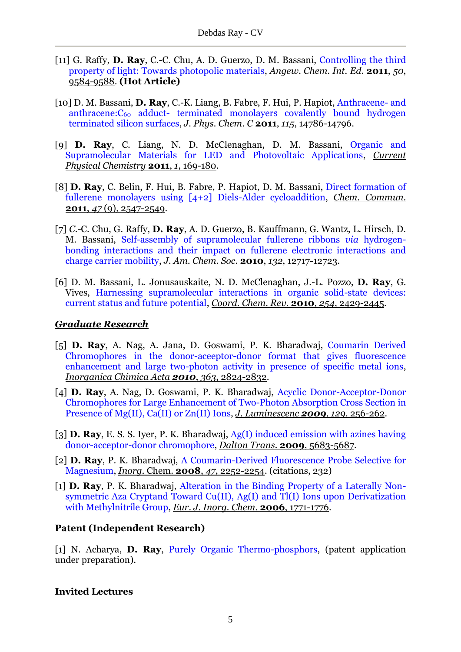- [11] G. Raffy, **D. Ray**, C.-C. Chu, A. D. Guerzo, D. M. Bassani, Controlling the third property of light: Towards photopolic materials, *Angew. Chem. Int. Ed.* **2011**, *50*, 9584-9588. **(Hot Article)**
- [10] D. M. Bassani, **D. Ray**, C.-K. Liang, B. Fabre, F. Hui, P. Hapiot, Anthracene- and anthracene:C<sub>60</sub> adduct- terminated monolayers covalently bound hydrogen terminated silicon surfaces, *J. Phys. Chem*. *C* **2011**, *115*, 14786-14796.
- [9] **D. Ray**, C. Liang, N. D. McClenaghan, D. M. Bassani, Organic and Supramolecular Materials for LED and Photovoltaic Applications, *Current Physical Chemistry* **2011**, *1*, 169-180.
- [8] **D. Ray**, C. Belin, F. Hui, B. Fabre, P. Hapiot, D. M. Bassani, Direct formation of fullerene monolayers using [4+2] Diels-Alder cycloaddition, *Chem. Commun.*  **2011**, *47* (9), 2547-2549.
- [7] *C.-*C. Chu, G. Raffy, **D. Ray**, A. D. Guerzo, B. Kauffmann, G. Wantz, L. Hirsch, D. M. Bassani, Self-assembly of supramolecular fullerene ribbons *via* hydrogenbonding interactions and their impact on fullerene electronic interactions and charge carrier mobility, *J. Am. Chem. Soc*. **2010**, *132*, 12717-12723.
- [6] D. M. Bassani, L. Jonusauskaite, N. D. McClenaghan, J.-L. Pozzo, **D. Ray**, G. Vives, Harnessing supramolecular interactions in organic solid-state devices: current status and future potential, *Coord. Chem. Rev*. **2010**, *254*, 2429-2445.

#### *Graduate Research*

- [5] **D. Ray**, A. Nag, A. Jana, D. Goswami, P. K. Bharadwaj, Coumarin Derived Chromophores in the donor-aceeptor-donor format that gives fluorescence enhancement and large two-photon activity in presence of specific metal ions, *Inorganica Chimica Acta 2010*, *363*, 2824-2832.
- [4] **D. Ray**, A. Nag, D. Goswami, P. K. Bharadwaj, Acyclic Donor-Acceptor-Donor Chromophores for Large Enhancement of Two-Photon Absorption Cross Section in Presence of Mg(II), Ca(II) or Zn(II) Ions, *J. Luminescenc 2009, 129,* 256-262*.*
- [3] **D. Ray**, E. S. S. Iyer, P. K. Bharadwaj, Ag(I) induced emission with azines having donor-acceptor-donor chromophore, *Dalton Trans.* **2009**, 5683-5687.
- [2] **D. Ray**, P. K. Bharadwaj, A Coumarin-Derived Fluorescence Probe Selective for Magnesium, *Inorg.* Chem. **2008**, *47*, 2252-2254. (citations, 232)
- [1] **D. Ray**, P. K. Bharadwaj, Alteration in the Binding Property of a Laterally Nonsymmetric Aza Cryptand Toward Cu(II), Ag(I) and Tl(I) Ions upon Derivatization with Methylnitrile Group, *Eur. J. Inorg. Chem*. **2006**, 1771-1776.

# **Patent (Independent Research)**

[1] N. Acharya, **D. Ray**, Purely Organic Thermo-phosphors, (patent application under preparation).

#### **Invited Lectures**